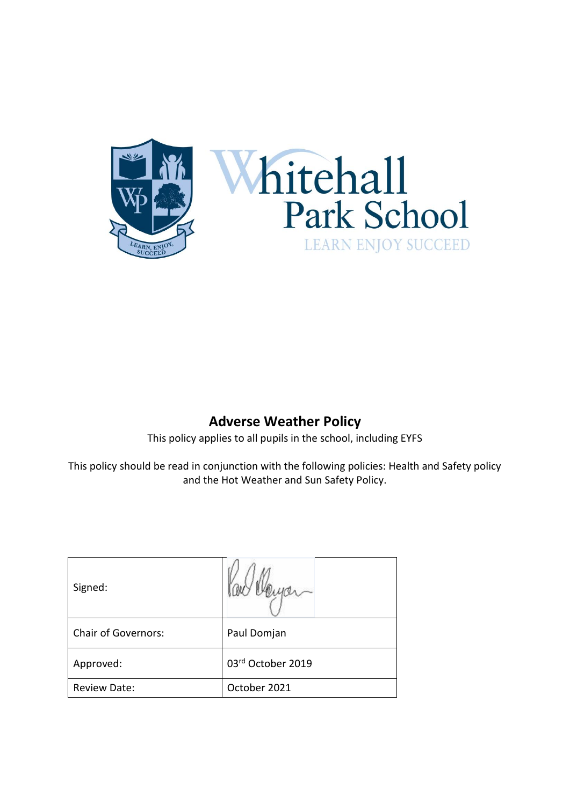



## **Adverse Weather Policy**

This policy applies to all pupils in the school, including EYFS

This policy should be read in conjunction with the following policies: Health and Safety policy and the Hot Weather and Sun Safety Policy.

| Signed:                    |                   |
|----------------------------|-------------------|
| <b>Chair of Governors:</b> | Paul Domjan       |
| Approved:                  | 03rd October 2019 |
| <b>Review Date:</b>        | October 2021      |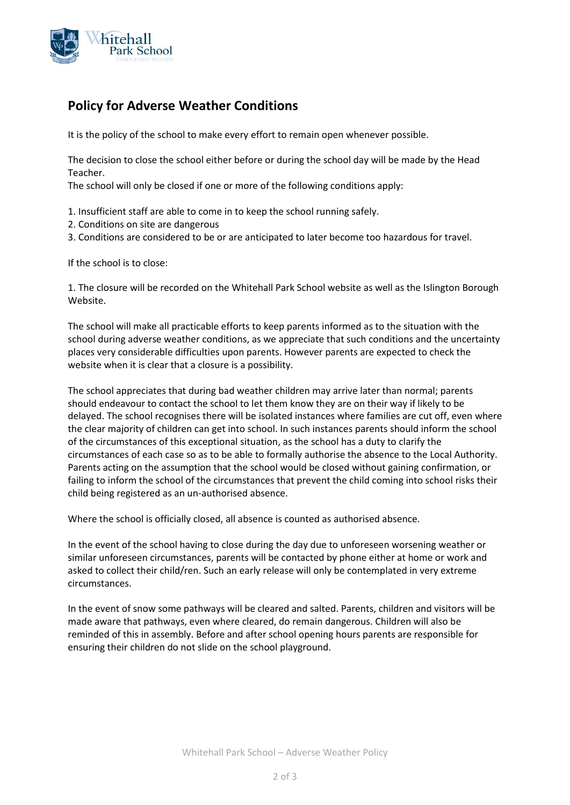

## **Policy for Adverse Weather Conditions**

It is the policy of the school to make every effort to remain open whenever possible.

The decision to close the school either before or during the school day will be made by the Head Teacher.

The school will only be closed if one or more of the following conditions apply:

- 1. Insufficient staff are able to come in to keep the school running safely.
- 2. Conditions on site are dangerous
- 3. Conditions are considered to be or are anticipated to later become too hazardous for travel.

If the school is to close:

1. The closure will be recorded on the Whitehall Park School website as well as the Islington Borough Website.

The school will make all practicable efforts to keep parents informed as to the situation with the school during adverse weather conditions, as we appreciate that such conditions and the uncertainty places very considerable difficulties upon parents. However parents are expected to check the website when it is clear that a closure is a possibility.

The school appreciates that during bad weather children may arrive later than normal; parents should endeavour to contact the school to let them know they are on their way if likely to be delayed. The school recognises there will be isolated instances where families are cut off, even where the clear majority of children can get into school. In such instances parents should inform the school of the circumstances of this exceptional situation, as the school has a duty to clarify the circumstances of each case so as to be able to formally authorise the absence to the Local Authority. Parents acting on the assumption that the school would be closed without gaining confirmation, or failing to inform the school of the circumstances that prevent the child coming into school risks their child being registered as an un-authorised absence.

Where the school is officially closed, all absence is counted as authorised absence.

In the event of the school having to close during the day due to unforeseen worsening weather or similar unforeseen circumstances, parents will be contacted by phone either at home or work and asked to collect their child/ren. Such an early release will only be contemplated in very extreme circumstances.

In the event of snow some pathways will be cleared and salted. Parents, children and visitors will be made aware that pathways, even where cleared, do remain dangerous. Children will also be reminded of this in assembly. Before and after school opening hours parents are responsible for ensuring their children do not slide on the school playground.